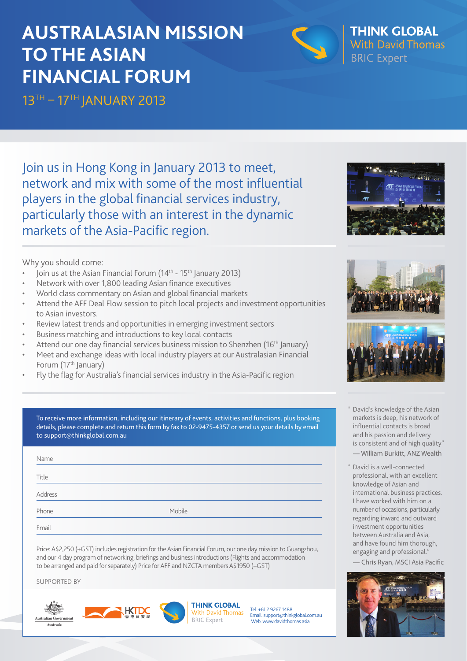## **AUSTRALASIAN MISSION TO THE ASIAN FINANCIAL FORUM**

13TH – 17TH JANUARY 2013

Join us in Hong Kong in January 2013 to meet, network and mix with some of the most influential players in the global financial services industry, particularly those with an interest in the dynamic markets of the Asia-Pacific region.

Why you should come:

- Join us at the Asian Financial Forum (14<sup>th</sup> 15<sup>th</sup> January 2013)
- Network with over 1,800 leading Asian finance executives
- World class commentary on Asian and global financial markets
- Attend the AFF Deal Flow session to pitch local projects and investment opportunities to Asian investors.
- Review latest trends and opportunities in emerging investment sectors
- Business matching and introductions to key local contacts
- Attend our one day financial services business mission to Shenzhen (16<sup>th</sup> January)
- Meet and exchange ideas with local industry players at our Australasian Financial Forum (17<sup>th</sup> January)
- Fly the flag for Australia's financial services industry in the Asia-Pacific region

To receive more information, including our itinerary of events, activities and functions, plus booking details, please complete and return this form by fax to 02-9475-4357 or send us your details by email to support@thinkglobal.com.au

| Name    |        |  |
|---------|--------|--|
| Title   |        |  |
| Address |        |  |
| Phone   | Mobile |  |
| Email   |        |  |

Price: A\$2,250 (+GST) includes registration for the Asian Financial Forum, our one day mission to Guangzhou, and our 4 day program of networking, briefings and businessintroductions(Flights and accommodation to be arranged and paid for separately) Price for AFF and NZCTA members A\$1950 (+GST)

SUPPORTED BY







Tel. +61 2 9267 1488 Email. support@thinkglobal.com.au Web. www.davidthomas.asia





- " David's knowledge of the Asian markets is deep, his network of influential contacts is broad and his passion and delivery is consistent and of high quality" — William Burkitt, ANZ Wealth
- " David is a well-connected professional, with an excellent knowledge of Asian and international business practices. I have worked with him on a number of occasions, particularly regarding inward and outward investment opportunities between Australia and Asia, and have found him thorough, engaging and professional."

— Chris Ryan, MSCI Asia Pacific





**THINK GLOBAL With David Thomas BRIC Expert**